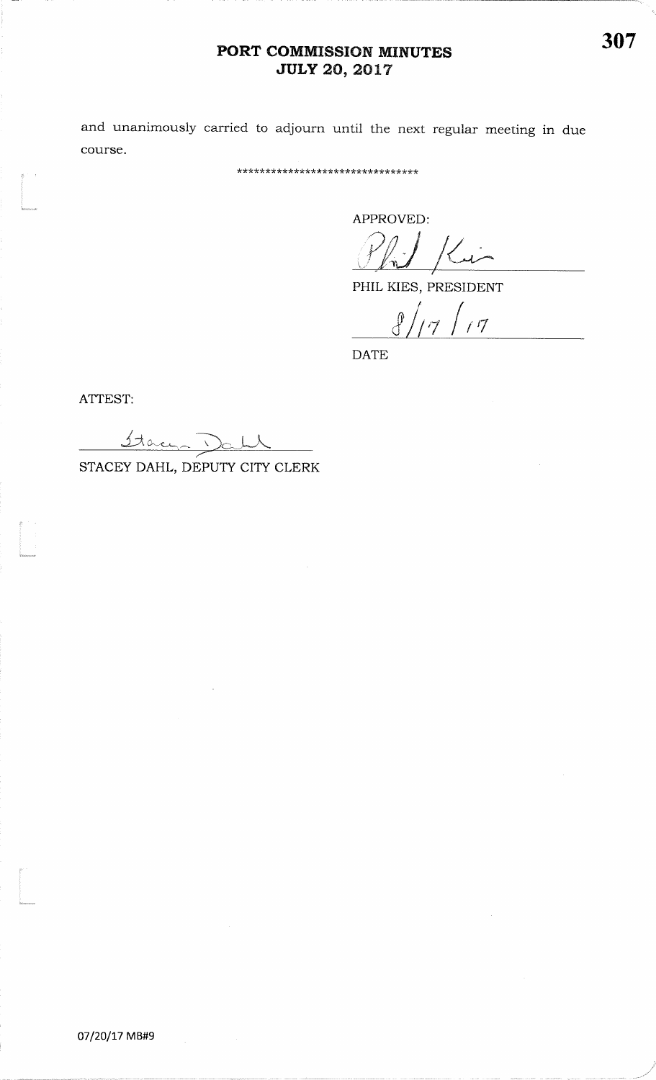## PORT COMMISSION MINUTES **JULY 20, 2017**

and unanimously carried to adjourn until the next regular meeting in due course.

\*\*\*\*\*\*\*\*\*\*\*\*\*\*\*\*\*\*\*\*\*\*\*\*\*\*\*\*\*\*\*

APPROVED:

 $1$  Kin

PHIL KIES, PRESIDENT

 $8/17/17$ 

**DATE** 

ATTEST:

Stace Dall STACEY DAHL, DEPUTY CITY CLERK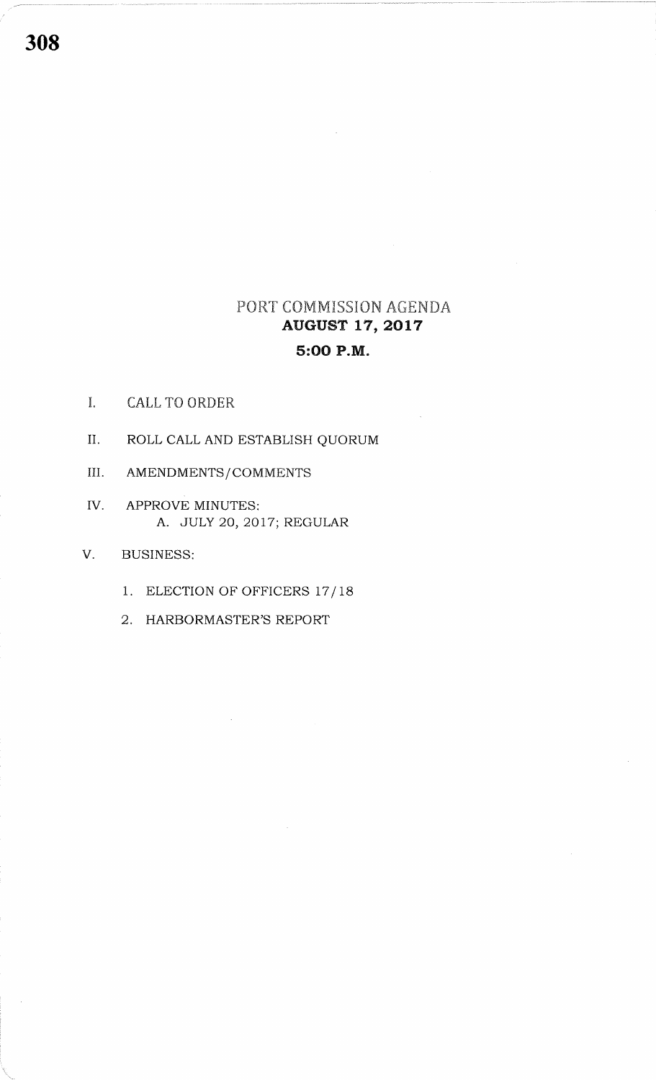## PORT COMMISSION AGENDA **AUGUST 17, 2017** 5:00 P.M.

- $\mathbf{I}$ . **CALL TO ORDER**
- II. ROLL CALL AND ESTABLISH QUORUM
- III. AMENDMENTS/COMMENTS
- IV. APPROVE MINUTES: A. JULY 20, 2017; REGULAR
- V. **BUSINESS:** 
	- 1. ELECTION OF OFFICERS 17/18
	- 2. HARBORMASTER'S REPORT

308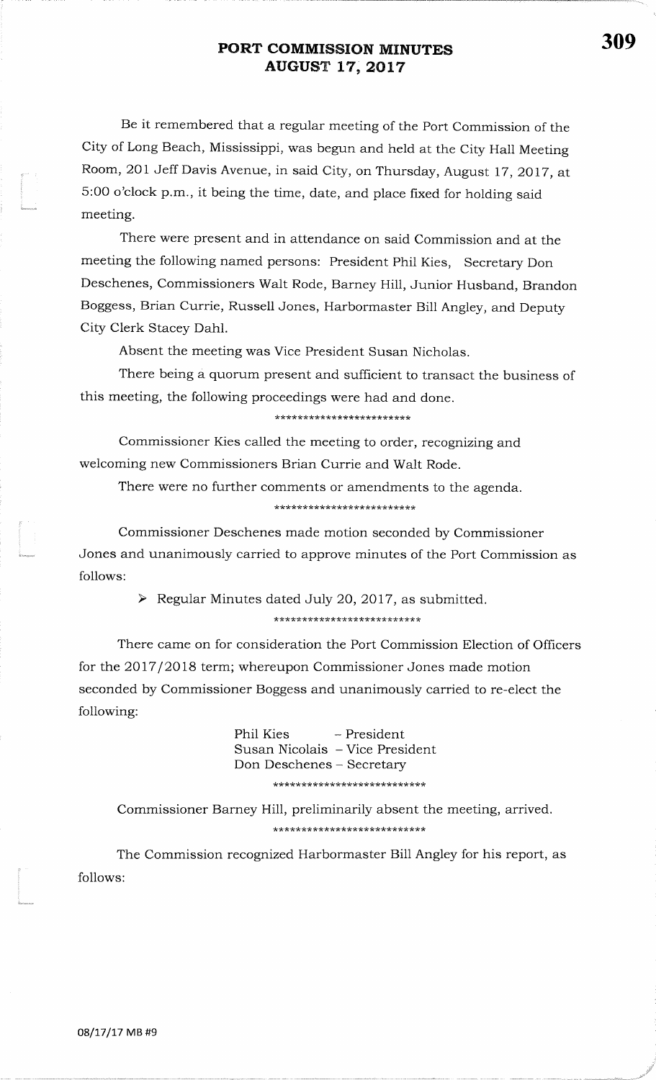## PORT COMMISSION MINUTES**AUGUST 17, 2017**

Be it remembered that a regular meeting of the Port Commission of theCity of Long Beach, Mississippi, was begun and held at the City Hall MeetingRoom, 201 Jeff Davis Avenue, in said City, on Thursday, August 17, 2017, at 5:oo o'clock p.m., it being the time, date, and place fixed for holding saidmeeting.

There were present and in attendance on said Commission and at themeeting the following named persons: President Phil Kies, Secretary DonDeschenes, Commissioners Walt Rode, Barney Hill, Junior Husband, BrandonBoggess, Brian Currie, Russell Jones, Harbormaster Bill Angley, and DeputyCity Clerk Stacey Dahl.

Absent the meeting was Vice President Susan Nicholas.

There being a quorum present and sufficient to transact the business ofthis meeting, the following proceedings were had and done.

### \*\*\*\*\*\*\*\*\*\*\*\*\*\*\*\*\*\*\*\*\*\*\*\*

Commissioner Kies called the meeting to order, recognizing andwelcoming new Commissioners Brian Currie and Walt Rode.

There were no further comments or amendments to the agenda.

Commissioner Deschenes made motion seconded by CommissionerJones and unanimously carried to approve minutes of the Port Commission asfollows:

 $\triangleright$  Regular Minutes dated July 20, 2017, as submitted.

There came on for consideration the Port Commission Election of Ofhcersfor the 2Ol7 /2018 term; whereupon Commissioner Jones made motionseconded by Commissioner Boggess and unanimously carried to re-elect thefollowing:

> Phil Kies - President Susan Nicolais - Vice PresidentDon Deschenes - Secretary\*\*\*\*\*\*\*\*\*\*\*\*\*\*\*\*\*\*\*\*\*\*\*\*\*\*\*

Commissioner Barney Hill, preliminarily absent the meeting, arrived\*\*\*\*\*\*\*\*\*\*\*\*\*\*\*\*\*\*\*\*\*\*\*\*\*\*\*

The Commission recognized Harbormaster Bill Angley for his report, asfollows:

t<br>|<br>|astronomy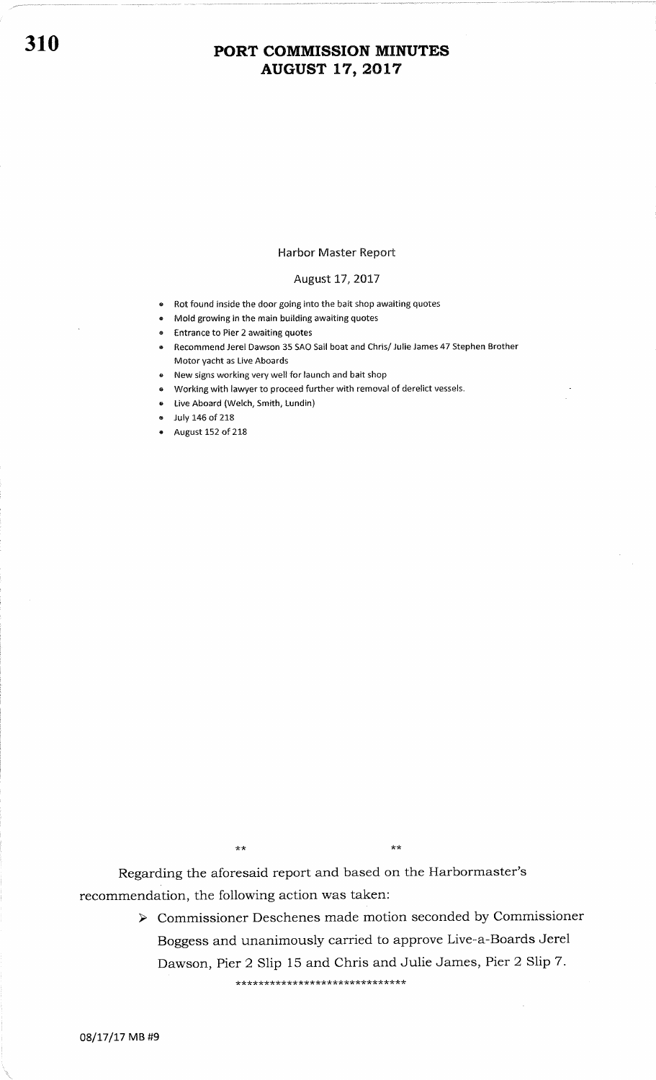# 310 PORT COMMISSION MINUTES AUGUST L7,2OL7

### Harbor Master Report

### August 17, 2017

- e Rot found inside the door going into the bait shop awaiting quotes
- e Mold growing in the main building awaiting quotes
- **Entrance to Pier 2 awaiting quotes**
- . Recommend Jerel Dawson 35 SAO Sail boat and Chris/ Julie James 47 Stephen Brother Motor yacht as Live Aboards
- New signs working very well for launch and bait shop
- Working with lawyer to proceed further with removal of derelict vessels.
- Live Aboard (Welch, Smith, Lundin)
- July 146 of 218
- $\bullet$  August 152 of 218

\*\*

Regarding the aforesaid report and based on the Harbormaster's recommendation, the following action was taken:

> > Commissioner Deschenes made motion seconded by Commissioner Boggess and unanimously carried to approve Live-a-Boards Jerel Dawson, Pier 2 Slip 15 and Chris and Julie James, Pier 2 Slip 7.

\* \* \* \* \* \* \* \* \* \* \* \* \* \* \* \*\*\*\* \* \*